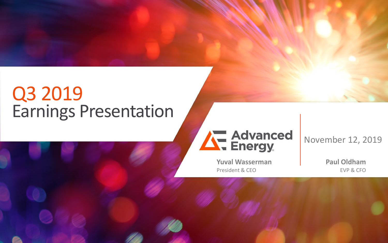# Q3 2019 Earnings Presentation



November 12, 2019

**Yuval Wasserman** President & CEO

**Paul Oldham** EVP & CFO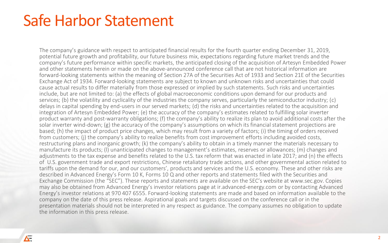#### Safe Harbor Statement

The company's guidance with respect to anticipated financial results for the fourth quarter ending December 31, 2019, potential future growth and profitability, our future business mix, expectations regarding future market trends and the company's future performance within specific markets, the anticipated closing of the acquisition of Artesyn Embedded Power and other statements herein or made on the above-announced conference call that are not historical information are forward-looking statements within the meaning of Section 27A of the Securities Act of 1933 and Section 21E of the Securities Exchange Act of 1934. Forward-looking statements are subject to known and unknown risks and uncertainties that could cause actual results to differ materially from those expressed or implied by such statements. Such risks and uncertainties include, but are not limited to: (a) the effects of global macroeconomic conditions upon demand for our products and services; (b) the volatility and cyclicality of the industries the company serves, particularly the semiconductor industry; (c) delays in capital spending by end-users in our served markets; (d) the risks and uncertainties related to the acquisition and integration of Artesyn Embedded Power; (e) the accuracy of the company's estimates related to fulfilling solar inverter product warranty and post-warranty obligations; (f) the company's ability to realize its plan to avoid additional costs after the solar inverter wind-down; (g) the accuracy of the company's assumptions on which its financial statement projections are based; (h) the impact of product price changes, which may result from a variety of factors; (i) the timing of orders received from customers; (j) the company's ability to realize benefits from cost improvement efforts including avoided costs, restructuring plans and inorganic growth; (k) the company's ability to obtain in a timely manner the materials necessary to manufacture its products; (l) unanticipated changes to management's estimates, reserves or allowances; (m) changes and adjustments to the tax expense and benefits related to the U.S. tax reform that was enacted in late 2017; and (n) the effects of U.S. government trade and export restrictions, Chinese retaliatory trade actions, and other governmental action related to tariffs upon the demand for our, and our customers', products and services and the U.S. economy. These and other risks are described in Advanced Energy's Form 10 K, Forms 10 Q and other reports and statements filed with the Securities and Exchange Commission (the "SEC"). These reports and statements are available on the SEC's website at www.sec.gov. Copies may also be obtained from Advanced Energy's investor relations page at ir.advanced-energy.com or by contacting Advanced Energy's investor relations at 970 407 6555. Forward-looking statements are made and based on information available to the company on the date of this press release. Aspirational goals and targets discussed on the conference call or in the presentation materials should not be interpreted in any respect as guidance. The company assumes no obligation to update the information in this press release.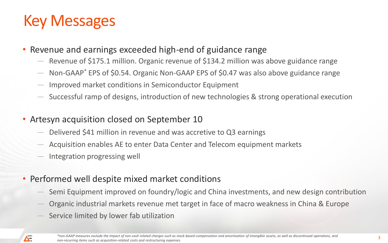## Key Messages

• Revenue and earnings exceeded high-end of guidance range

- Revenue of \$175.1 million. Organic revenue of \$134.2 million was above guidance range
- ― Non-GAAP\* EPS of \$0.54. Organic Non-GAAP EPS of \$0.47 was also above guidance range
- ― Improved market conditions in Semiconductor Equipment
- ― Successful ramp of designs, introduction of new technologies & strong operational execution

#### • Artesyn acquisition closed on September 10

- ― Delivered \$41 million in revenue and was accretive to Q3 earnings
- $-$  Acquisition enables AE to enter Data Center and Telecom equipment markets
- ― Integration progressing well

#### • Performed well despite mixed market conditions

- Semi Equipment improved on foundry/logic and China investments, and new design contribution
- ― Organic industrial markets revenue met target in face of macro weakness in China & Europe
- ― Service limited by lower fab utilization



*\*non-GAAP measures exclude the impact of non-cash related charges such as stock-based compensation and amortization of intangible assets, as well as discontinued operations, and non-recurring items such as acquisition-related costs and restructuring expenses.*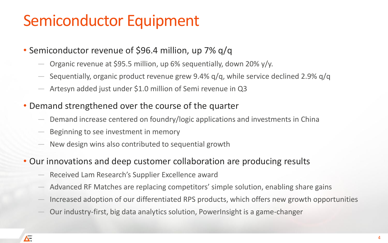## Semiconductor Equipment

- Semiconductor revenue of \$96.4 million, up 7% q/q
	- $-$  Organic revenue at \$95.5 million, up 6% sequentially, down 20% y/y.
	- Sequentially, organic product revenue grew 9.4%  $q/q$ , while service declined 2.9%  $q/q$
	- ― Artesyn added just under \$1.0 million of Semi revenue in Q3

#### • Demand strengthened over the course of the quarter

- ― Demand increase centered on foundry/logic applications and investments in China
- ― Beginning to see investment in memory
- ― New design wins also contributed to sequential growth

#### • Our innovations and deep customer collaboration are producing results

- ― Received Lam Research's Supplier Excellence award
- Advanced RF Matches are replacing competitors' simple solution, enabling share gains
- ― Increased adoption of our differentiated RPS products, which offers new growth opportunities
- ― Our industry-first, big data analytics solution, PowerInsight is a game-changer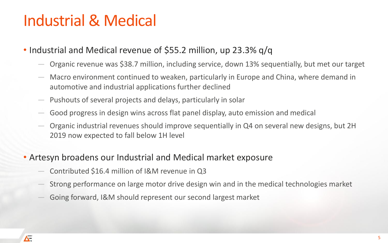## Industrial & Medical

- Industrial and Medical revenue of \$55.2 million, up 23.3% q/q
	- ― Organic revenue was \$38.7 million, including service, down 13% sequentially, but met our target
	- ― Macro environment continued to weaken, particularly in Europe and China, where demand in automotive and industrial applications further declined
	- ― Pushouts of several projects and delays, particularly in solar
	- Good progress in design wins across flat panel display, auto emission and medical
	- ― Organic industrial revenues should improve sequentially in Q4 on several new designs, but 2H 2019 now expected to fall below 1H level

#### • Artesyn broadens our Industrial and Medical market exposure

- ― Contributed \$16.4 million of I&M revenue in Q3
- Strong performance on large motor drive design win and in the medical technologies market
- ― Going forward, I&M should represent our second largest market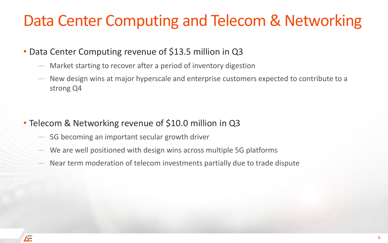## Data Center Computing and Telecom & Networking

- Data Center Computing revenue of \$13.5 million in Q3
	- ― Market starting to recover after a period of inventory digestion
	- ― New design wins at major hyperscale and enterprise customers expected to contribute to a strong Q4

- Telecom & Networking revenue of \$10.0 million in Q3
	- ― 5G becoming an important secular growth driver
	- ― We are well positioned with design wins across multiple 5G platforms
	- Near term moderation of telecom investments partially due to trade dispute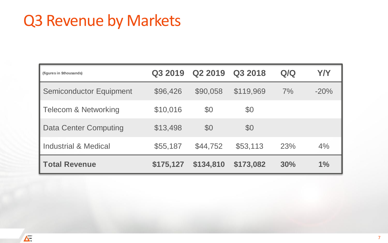## Q3 Revenue by Markets

Æ

| (figures in \$thousands)        | Q3 2019   | Q <sub>2</sub> 2019 | Q3 2018   | Q/Q | YN     |
|---------------------------------|-----------|---------------------|-----------|-----|--------|
| <b>Semiconductor Equipment</b>  | \$96,426  | \$90,058            | \$119,969 | 7%  | $-20%$ |
| <b>Telecom &amp; Networking</b> | \$10,016  | \$0                 | \$0       |     |        |
| <b>Data Center Computing</b>    | \$13,498  | \$0                 | \$0       |     |        |
| Industrial & Medical            | \$55,187  | \$44,752            | \$53,113  | 23% | 4%     |
| <b>Total Revenue</b>            | \$175,127 | \$134,810           | \$173,082 | 30% | 1%     |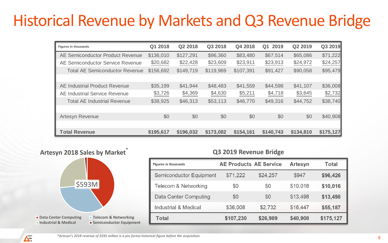## Historical Revenue by Markets and Q3 Revenue Bridge

| Figures in thousands                  | Q1 2018   | Q2 2018   | Q3 2018   | Q4 2018   | 2019<br>Q1 | Q2 2019   | Q3 2019   |
|---------------------------------------|-----------|-----------|-----------|-----------|------------|-----------|-----------|
| AE Semiconductor Product Revenue      | \$136,010 | \$127,291 | \$96,360  | \$83,480  | \$67.514   | \$65,086  | \$71,222  |
| AE Semiconductor Service Revenue      | \$20,682  | \$22,428  | \$23,609  | \$23,911  | \$23,913   | \$24,972  | \$24,257  |
| <b>Total AE Semiconductor Revenue</b> | \$156,692 | \$149,719 | \$119,969 | \$107,391 | \$91,427   | \$90,058  | \$95,479  |
|                                       |           |           |           |           |            |           |           |
| AE Industrial Product Revenue         | \$35,199  | \$41,944  | \$48,483  | \$41,559  | \$44,598   | \$41,107  | \$36,008  |
| AE Industrial Service Revenue         | \$3,726   | \$4,369   | \$4,630   | \$5,211   | \$4,718    | \$3,645   | \$2,732   |
| <b>Total AE Industrial Revenue</b>    | \$38,925  | \$46,313  | \$53,113  | \$46,770  | \$49,316   | \$44,752  | \$38,740  |
|                                       |           |           |           |           |            |           |           |
| Artesyn Revenue                       | \$0       | \$0       | \$0       | \$0       | \$0        | \$0       | \$40,908  |
|                                       |           |           |           |           |            |           |           |
| <b>Total Revenue</b>                  | \$195,617 | \$196,032 | \$173,082 | \$154,161 | \$140,743  | \$134,810 | \$175,127 |

#### **Artesyn 2018 Sales by Market Q3 2019 Revenue Bridge \***



| <b>Figures in thousands</b>    | <b>AE Products AE Service</b> |          | Artesyn  | Total     |
|--------------------------------|-------------------------------|----------|----------|-----------|
| <b>Semiconductor Equipment</b> | \$71,222                      | \$24,257 | \$947    | \$96,426  |
| Telecom & Networking           | \$0                           | \$0      | \$10,016 | \$10,016  |
| <b>Data Center Computing</b>   | \$0                           | \$0      | \$13,498 | \$13,498  |
| Industrial & Medical           | \$36,008                      | \$2,732  | \$16,447 | \$55,187  |
| Total                          | \$107,230                     | \$26,989 | \$40,908 | \$175,127 |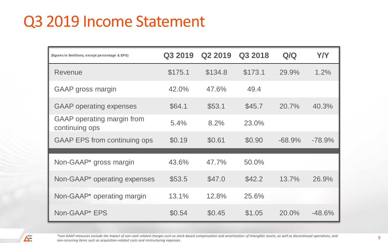## Q3 2019 Income Statement

| (figures in \$millions, except percentage & EPS) | Q3 2019 | Q <sub>2</sub> 2019 | Q3 2018 | Q/Q      | Y/Y      |
|--------------------------------------------------|---------|---------------------|---------|----------|----------|
| Revenue                                          | \$175.1 | \$134.8             | \$173.1 | 29.9%    | 1.2%     |
| GAAP gross margin                                | 42.0%   | 47.6%               | 49.4    |          |          |
| <b>GAAP</b> operating expenses                   | \$64.1  | \$53.1              | \$45.7  | 20.7%    | 40.3%    |
| GAAP operating margin from<br>continuing ops     | 5.4%    | 8.2%                | 23.0%   |          |          |
| <b>GAAP EPS from continuing ops</b>              | \$0.19  | \$0.61              | \$0.90  | $-68.9%$ | $-78.9%$ |
|                                                  |         |                     |         |          |          |
| Non-GAAP <sup>*</sup> gross margin               | 43.6%   | 47.7%               | 50.0%   |          |          |
| Non-GAAP <sup>*</sup> operating expenses         | \$53.5  | \$47.0              | \$42.2  | 13.7%    | 26.9%    |
| Non-GAAP <sup>*</sup> operating margin           | 13.1%   | 12.8%               | 25.6%   |          |          |
| Non-GAAP* EPS                                    | \$0.54  | \$0.45              | \$1.05  | 20.0%    | $-48.6%$ |

Æ

*\*non-GAAP measures exclude the impact of non-cash related charges such as stock-based compensation and amortization of intangible assets, as well as discontinued operations, and non-recurring items such as acquisition-related costs and restructuring expenses.*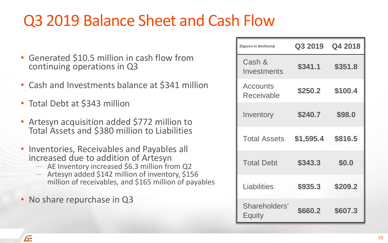## Q3 2019 Balance Sheet and Cash Flow

- Generated \$10.5 million in cash flow from continuing operations in Q3
- Cash and Investments balance at \$341 million
- Total Debt at \$343 million
- Artesyn acquisition added \$772 million to Total Assets and \$380 million to Liabilities
- Inventories, Receivables and Payables all increased due to addition of Artesyn
	- ― AE Inventory increased \$6.3 million from Q2
	- ― Artesyn added \$142 million of inventory, \$156 million of receivables, and \$165 million of payables
- No share repurchase in Q3

Æ

| (figures in \$millions)       | Q3 2019   | Q4 2018 |
|-------------------------------|-----------|---------|
| Cash &<br>Investments         | \$341.1   | \$351.8 |
| Accounts<br><b>Receivable</b> | \$250.2   | \$100.4 |
| Inventory                     | \$240.7   | \$98.0  |
| <b>Total Assets</b>           | \$1,595.4 | \$816.5 |
| <b>Total Debt</b>             | \$343.3   | \$0.0   |
| Liabilities                   | \$935.3   | \$209.2 |
| Shareholders'<br>Equity       | \$660.2   | \$607.3 |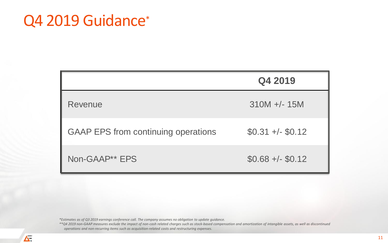#### Q4 2019 Guidance\*

|                                            | Q4 2019           |
|--------------------------------------------|-------------------|
| Revenue                                    | $310M +/- 15M$    |
| <b>GAAP EPS from continuing operations</b> | $$0.31 +/- $0.12$ |
| Non-GAAP** EPS                             | $$0.68 +/- $0.12$ |

*\*Estimates as of Q3 2019 earnings conference call. The company assumes no obligation to update guidance.* 

*\*\*Q4 2019 non-GAAP measures exclude the impact of non-cash related charges such as stock-based compensation and amortization of intangible assets, as well as discontinued operations and non-recurring items such as acquisition-related costs and restructuring expenses.*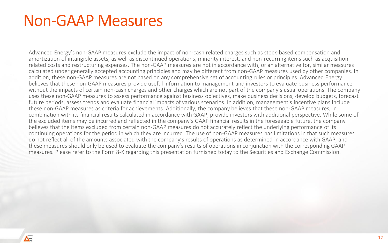#### Non-GAAP Measures

Æ

Advanced Energy's non-GAAP measures exclude the impact of non-cash related charges such as stock-based compensation and amortization of intangible assets, as well as discontinued operations, minority interest, and non-recurring items such as acquisitionrelated costs and restructuring expenses. The non-GAAP measures are not in accordance with, or an alternative for, similar measures calculated under generally accepted accounting principles and may be different from non-GAAP measures used by other companies. In addition, these non-GAAP measures are not based on any comprehensive set of accounting rules or principles. Advanced Energy believes that these non-GAAP measures provide useful information to management and investors to evaluate business performance without the impacts of certain non-cash charges and other charges which are not part of the company's usual operations. The company uses these non-GAAP measures to assess performance against business objectives, make business decisions, develop budgets, forecast future periods, assess trends and evaluate financial impacts of various scenarios. In addition, management's incentive plans include these non-GAAP measures as criteria for achievements. Additionally, the company believes that these non-GAAP measures, in combination with its financial results calculated in accordance with GAAP, provide investors with additional perspective. While some of the excluded items may be incurred and reflected in the company's GAAP financial results in the foreseeable future, the company believes that the items excluded from certain non-GAAP measures do not accurately reflect the underlying performance of its continuing operations for the period in which they are incurred. The use of non-GAAP measures has limitations in that such measures do not reflect all of the amounts associated with the company's results of operations as determined in accordance with GAAP, and these measures should only be used to evaluate the company's results of operations in conjunction with the corresponding GAAP measures. Please refer to the Form 8-K regarding this presentation furnished today to the Securities and Exchange Commission.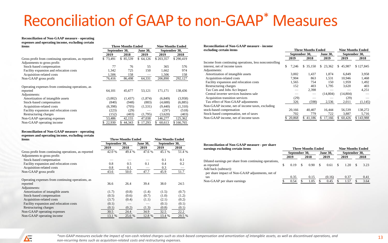#### Reconciliation of GAAP to non-GAAP\* Measures

#### **Reconciliation of Non-GAAP measure - operating expenses and operating income, excluding certain items Three Months Ended Nine Months Ended**

|                                                      | September 30, |          | <b>June 30.</b> | September 30. |           |  |  |
|------------------------------------------------------|---------------|----------|-----------------|---------------|-----------|--|--|
|                                                      | 2019          | 2018     | 2019            | 2019          | 2018      |  |  |
| Gross profit from continuing operations, as reported | \$73,491      | \$85,539 | \$64.126        | \$203.357     | \$290.419 |  |  |
| Adjustments to gross profit:                         |               |          |                 |               |           |  |  |
| Stock-based compensation                             | 77            | 76       | 55              | 365           | 576       |  |  |
| Facility expansion and relocation costs              | 1,342         | 725      | 150             | 1.662         | 974       |  |  |
| Acquisition-related costs                            | 1.506         | 158      |                 | 1.506         | 158       |  |  |
| Non-GAAP gross profit                                | 76.416        | 86,498   | 64,331          | 206,890       | 292,127   |  |  |
| Operating expenses from continuing operations, as    |               |          |                 |               |           |  |  |
| reported                                             | 64,101        | 45,677   | 53,121          | 171.171       | 138,436   |  |  |
| Adjustments:                                         |               |          |                 |               |           |  |  |
| Amortization of intangible assets                    | (3,002)       | (1.437)  | (1.874)         | (6, 849)      | (3,958)   |  |  |
| Stock-based compensation                             | (840)         | (948)    | (883)           | (4,688)       | (6,885)   |  |  |
| Acquisition-related costs                            | (6,398)       | (705)    | (1,531)         | (9,440)       | (1,310)   |  |  |
| Facility expansion and relocation costs              | (223)         | (29)     |                 | (297)         | (518)     |  |  |
| Restructuring charges                                | (152)         | (403)    | (1,795)         | (3,620)       | (403)     |  |  |
| Non-GAAP operating expenses                          | 53,486        | 42,155   | 47,038          | 146,277       | 125,362   |  |  |
| Non-GAAP operating income                            | 22,930        | 44,343   | 17,293          | 60.613        | \$166,765 |  |  |

#### **Reconciliation of Non-GAAP measure - operating expenses and operating income, excluding certain items Three Months Ended Nine Months Ended**

|                                                      |               | тите птонен гичес | . .н.с .т.опсиз епоса |               |        |  |
|------------------------------------------------------|---------------|-------------------|-----------------------|---------------|--------|--|
|                                                      | September 30, |                   | <b>June 30,</b>       | September 30, |        |  |
|                                                      | 2019          | 2018              | 2019                  | 2019          | 2018   |  |
| Gross profit from continuing operations, as reported | 42.0%         | 49.4 %            | 47.6 %                | 45.1 %        | 51.4 % |  |
| Adjustments to gross profit:                         |               |                   |                       |               |        |  |
| Stock-based compensation                             |               |                   |                       | 0.1           | 0.1    |  |
| Facility expansion and relocation costs              | 0.8           | 0.5               | 0.1                   | 0.4           | 0.2    |  |
| Acquisition-related costs                            | 0.8           | 0.1               |                       | 0.3           | -      |  |
| Non-GAAP gross profit                                | 43.6          | 50.0              | 47.7                  | 45.9          | 51.7   |  |
| Operating expenses from continuing operations, as    |               |                   |                       |               |        |  |
| reported                                             | 36.6          | 26.4              | 39.4                  | 38.0          | 24.5   |  |
| Adjustments:                                         |               |                   |                       |               |        |  |
| Amortization of intangible assets                    | (1.7)         | (0.8)             | (1.4)                 | (1.5)         | (0.7)  |  |
| Stock-based compensation                             | (0.5)         | (0.6)             | (0.7)                 | (1.0)         | (1.2)  |  |
| Acquisition-related costs                            | (3.7)         | (0.4)             | (1.1)                 | (2.1)         | (0.2)  |  |
| Facility expansion and relocation costs              | (0.1)         |                   |                       | (0.1)         | (0.1)  |  |
| Restructuring charges                                | (0.1)         | (0.2)             | (1.3)                 | (0.8)         | (0.1)  |  |
| Non-GAAP operating expenses                          | 30.5          | 24.4              | 34.9                  | 32.5          | 22.2   |  |
| Non-GAAP operating income                            | 13.1 %        | 25.6 %            | 12.8 %                | 13.4 %        | 29.5 % |  |

| <b>Reconciliation of Non-GAAP measure - income</b>     |                           |               |           |       |                 |                          |               |  |  |
|--------------------------------------------------------|---------------------------|---------------|-----------|-------|-----------------|--------------------------|---------------|--|--|
| excluding certain items                                | <b>Three Months Ended</b> |               |           |       |                 | <b>Nine Months Ended</b> |               |  |  |
|                                                        |                           | September 30, |           |       | <b>June 30.</b> |                          | September 30, |  |  |
|                                                        |                           | 2019          | 2018      |       | 2019            | 2019                     | 2018          |  |  |
| Income from continuing operations, less noncontrolling |                           |               |           |       |                 |                          |               |  |  |
| interest, net of income taxes                          | S.                        | 7.246         | \$ 35.150 |       | 23.362<br>S.    | 45.987<br>\$.            | \$127,845     |  |  |
| Adjustments:                                           |                           |               |           |       |                 |                          |               |  |  |
| Amortization of intangible assets                      |                           | 3.002         | 1.437     |       | 1.874           | 6.849                    | 3,958         |  |  |
| Acquisition-related costs                              |                           | 7.904         |           | 863   | 1.531           | 10.946                   | 1.468         |  |  |
| Facility expansion and relocation costs                |                           | 1,565         |           | 754   | 150             | 1,959                    | 1,492         |  |  |
| Restructuring charges                                  |                           | 152           |           | 403   | 1.795           | 3,620                    | 403           |  |  |
| Tax Cuts and Jobs Act Impact                           |                           | -             | 2,398     |       |                 |                          | 4,251         |  |  |
| Central inverter services business sale                |                           | __            |           |       | (14.804)        | (14, 804)                |               |  |  |
| Acquisition transition services                        |                           | (29)          |           | -     |                 | (29)                     |               |  |  |
| Tax effect of Non-GAAP adjustments                     |                           | 326           |           | (598) | 2,536           | 2,011                    | (1,145)       |  |  |
| Non-GAAP income, net of income taxes, excluding        |                           |               |           |       |                 |                          |               |  |  |
| stock-based compensation                               |                           | 20.166        | 40.407    |       | 16.444          | 56,539                   | 138,272       |  |  |
| Stock-based compensation, net of taxes                 |                           | 702           |           | 779   | 722             | 3,887                    | 5,716         |  |  |
| Non-GAAP income, net of income taxes                   |                           | 20,868        | 41,186    |       | 17,166          | 60,426                   | \$143,988     |  |  |

| Reconciliation of Non-GAAP measure - per share<br>earnings excluding certain items |               |      |     | <b>Three Months Ended</b> |                 |        |  | <b>Nine Months Ended</b> |               |      |  |
|------------------------------------------------------------------------------------|---------------|------|-----|---------------------------|-----------------|--------|--|--------------------------|---------------|------|--|
|                                                                                    | September 30. |      |     |                           | <b>June 30.</b> |        |  |                          | September 30. |      |  |
|                                                                                    |               | 2019 |     | 2018                      |                 | 2019   |  | 2019                     |               | 2018 |  |
| Diluted earnings per share from continuing operations,<br>as reported              | S             | 0.19 | \$. | 0.90                      | \$.             | 0.61   |  | 120                      |               | 3.23 |  |
| Add back (subtract):<br>per share impact of Non-GAAP adjustments, net of           |               |      |     |                           |                 |        |  |                          |               |      |  |
| tax                                                                                |               | 0.35 |     | 0.15                      |                 | (0.16) |  | 0.37                     |               | 0.41 |  |
| Non-GAAP per share earnings                                                        |               | 0.54 |     | 1.05                      |                 | 0.45   |  | 1.57                     |               | 3.64 |  |